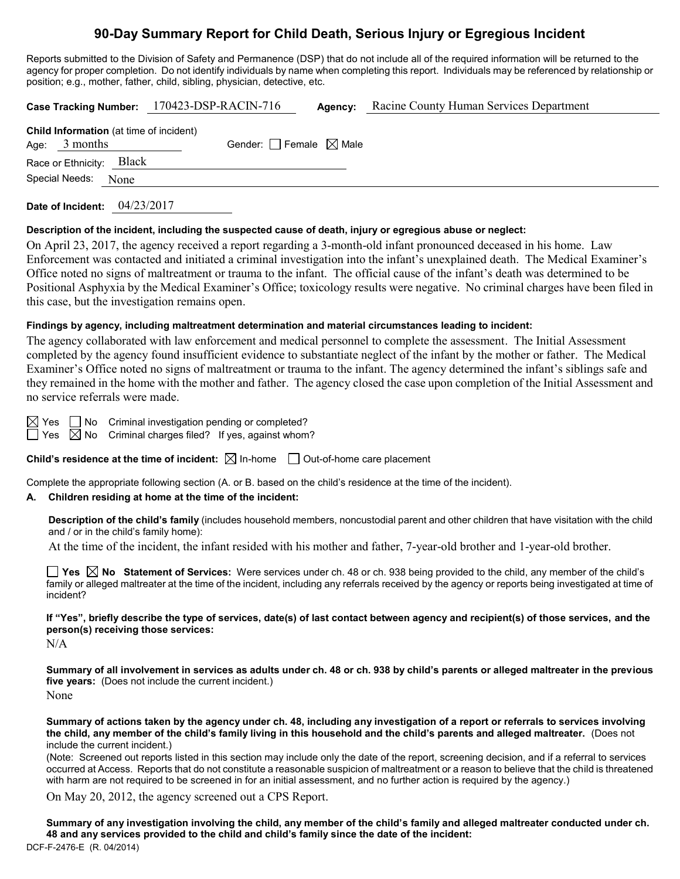# **90-Day Summary Report for Child Death, Serious Injury or Egregious Incident**

Reports submitted to the Division of Safety and Permanence (DSP) that do not include all of the required information will be returned to the agency for proper completion. Do not identify individuals by name when completing this report. Individuals may be referenced by relationship or position; e.g., mother, father, child, sibling, physician, detective, etc.

|                                                                    |      | Case Tracking Number: 170423-DSP-RACIN-716 |                                 | Agency: | Racine County Human Services Department |
|--------------------------------------------------------------------|------|--------------------------------------------|---------------------------------|---------|-----------------------------------------|
| <b>Child Information</b> (at time of incident)<br>3 months<br>Age: |      |                                            | Gender: Female $\boxtimes$ Male |         |                                         |
| Race or Ethnicity: Black                                           |      |                                            |                                 |         |                                         |
| Special Needs:                                                     | None |                                            |                                 |         |                                         |
|                                                                    |      |                                            |                                 |         |                                         |

**Date of Incident:** 04/23/2017

### **Description of the incident, including the suspected cause of death, injury or egregious abuse or neglect:**

On April 23, 2017, the agency received a report regarding a 3-month-old infant pronounced deceased in his home. Law Enforcement was contacted and initiated a criminal investigation into the infant's unexplained death. The Medical Examiner's Office noted no signs of maltreatment or trauma to the infant. The official cause of the infant's death was determined to be Positional Asphyxia by the Medical Examiner's Office; toxicology results were negative. No criminal charges have been filed in this case, but the investigation remains open.

### **Findings by agency, including maltreatment determination and material circumstances leading to incident:**

The agency collaborated with law enforcement and medical personnel to complete the assessment. The Initial Assessment completed by the agency found insufficient evidence to substantiate neglect of the infant by the mother or father. The Medical Examiner's Office noted no signs of maltreatment or trauma to the infant. The agency determined the infant's siblings safe and they remained in the home with the mother and father. The agency closed the case upon completion of the Initial Assessment and no service referrals were made.

 $\boxtimes$  Yes  $\Box$  No Criminal investigation pending or completed?  $\Box$  Yes  $\boxtimes$  No Criminal charges filed? If yes, against whom?

**Child's residence at the time of incident:**  $\boxtimes$  In-home  $\Box$  Out-of-home care placement

Complete the appropriate following section (A. or B. based on the child's residence at the time of the incident).

## **A. Children residing at home at the time of the incident:**

**Description of the child's family** (includes household members, noncustodial parent and other children that have visitation with the child and / or in the child's family home):

At the time of the incident, the infant resided with his mother and father, 7-year-old brother and 1-year-old brother.

**Yes No Statement of Services:** Were services under ch. 48 or ch. 938 being provided to the child, any member of the child's family or alleged maltreater at the time of the incident, including any referrals received by the agency or reports being investigated at time of incident?

**If "Yes", briefly describe the type of services, date(s) of last contact between agency and recipient(s) of those services, and the person(s) receiving those services:**

N/A

**Summary of all involvement in services as adults under ch. 48 or ch. 938 by child's parents or alleged maltreater in the previous five years:** (Does not include the current incident.) None

**Summary of actions taken by the agency under ch. 48, including any investigation of a report or referrals to services involving the child, any member of the child's family living in this household and the child's parents and alleged maltreater.** (Does not include the current incident.)

(Note: Screened out reports listed in this section may include only the date of the report, screening decision, and if a referral to services occurred at Access. Reports that do not constitute a reasonable suspicion of maltreatment or a reason to believe that the child is threatened with harm are not required to be screened in for an initial assessment, and no further action is required by the agency.)

On May 20, 2012, the agency screened out a CPS Report.

DCF-F-2476-E (R. 04/2014) **Summary of any investigation involving the child, any member of the child's family and alleged maltreater conducted under ch. 48 and any services provided to the child and child's family since the date of the incident:**